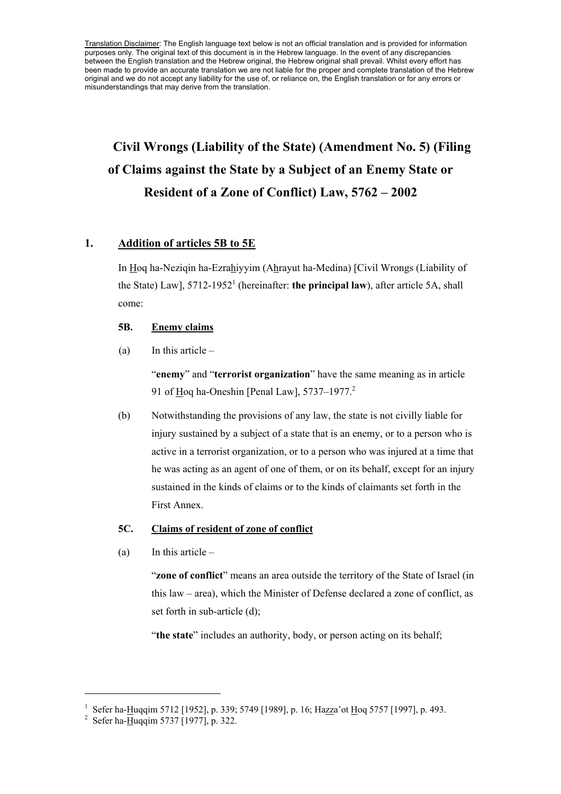Translation Disclaimer: The English language text below is not an official translation and is provided for information purposes only. The original text of this document is in the Hebrew language. In the event of any discrepancies between the English translation and the Hebrew original, the Hebrew original shall prevail. Whilst every effort has been made to provide an accurate translation we are not liable for the proper and complete translation of the Hebrew original and we do not accept any liability for the use of, or reliance on, the English translation or for any errors or misunderstandings that may derive from the translation.

# **Civil Wrongs (Liability of the State) (Amendment No. 5) (Filing of Claims against the State by a Subject of an Enemy State or Resident of a Zone of Conflict) Law, 5762 – 2002**

# **1. Addition of articles 5B to 5E**

In Hoq ha-Neziqin ha-Ezrahiyyim (Ahrayut ha-Medina) [Civil Wrongs (Liability of the State) Law], 5712-1952<sup>1</sup> (hereinafter: **the principal law**), after article 5A, shall come:

# **5B. Enemy claims**

(a) In this article  $-$ 

"**enemy**" and "**terrorist organization**" have the same meaning as in article 91 of Hoq ha-Oneshin [Penal Law],  $5737-1977$ <sup>2</sup>

(b) Notwithstanding the provisions of any law, the state is not civilly liable for injury sustained by a subject of a state that is an enemy, or to a person who is active in a terrorist organization, or to a person who was injured at a time that he was acting as an agent of one of them, or on its behalf, except for an injury sustained in the kinds of claims or to the kinds of claimants set forth in the First Annex.

# **5C. Claims of resident of zone of conflict**

 $(a)$  In this article –

"**zone of conflict**" means an area outside the territory of the State of Israel (in this law – area), which the Minister of Defense declared a zone of conflict, as set forth in sub-article (d);

"**the state**" includes an authority, body, or person acting on its behalf;

<sup>&</sup>lt;sup>1</sup> Sefer ha-Huqqim 5712 [1952], p. 339; 5749 [1989], p. 16; Hazza'ot Hoq 5757 [1997], p. 493.

<sup>&</sup>lt;sup>2</sup> Sefer ha-Huqqim 5737 [1977], p. 322.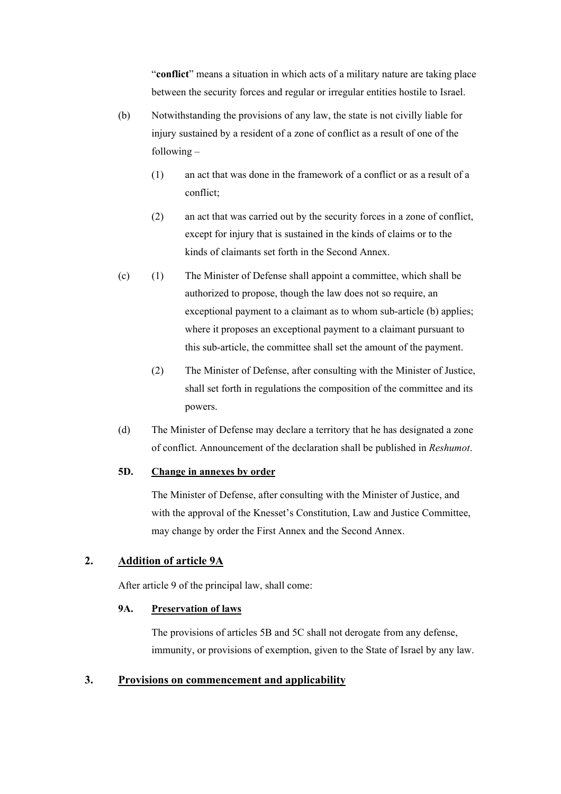"**conflict**" means a situation in which acts of a military nature are taking place between the security forces and regular or irregular entities hostile to Israel.

- (b) Notwithstanding the provisions of any law, the state is not civilly liable for injury sustained by a resident of a zone of conflict as a result of one of the following –
	- (1) an act that was done in the framework of a conflict or as a result of a conflict;
	- (2) an act that was carried out by the security forces in a zone of conflict, except for injury that is sustained in the kinds of claims or to the kinds of claimants set forth in the Second Annex.
- (c) (1) The Minister of Defense shall appoint a committee, which shall be authorized to propose, though the law does not so require, an exceptional payment to a claimant as to whom sub-article (b) applies; where it proposes an exceptional payment to a claimant pursuant to this sub-article, the committee shall set the amount of the payment.
	- (2) The Minister of Defense, after consulting with the Minister of Justice, shall set forth in regulations the composition of the committee and its powers.
- (d) The Minister of Defense may declare a territory that he has designated a zone of conflict. Announcement of the declaration shall be published in *Reshumot*.

# **5D. Change in annexes by order**

The Minister of Defense, after consulting with the Minister of Justice, and with the approval of the Knesset's Constitution, Law and Justice Committee, may change by order the First Annex and the Second Annex.

# **2. Addition of article 9A**

After article 9 of the principal law, shall come:

# **9A. Preservation of laws**

The provisions of articles 5B and 5C shall not derogate from any defense, immunity, or provisions of exemption, given to the State of Israel by any law.

# **3. Provisions on commencement and applicability**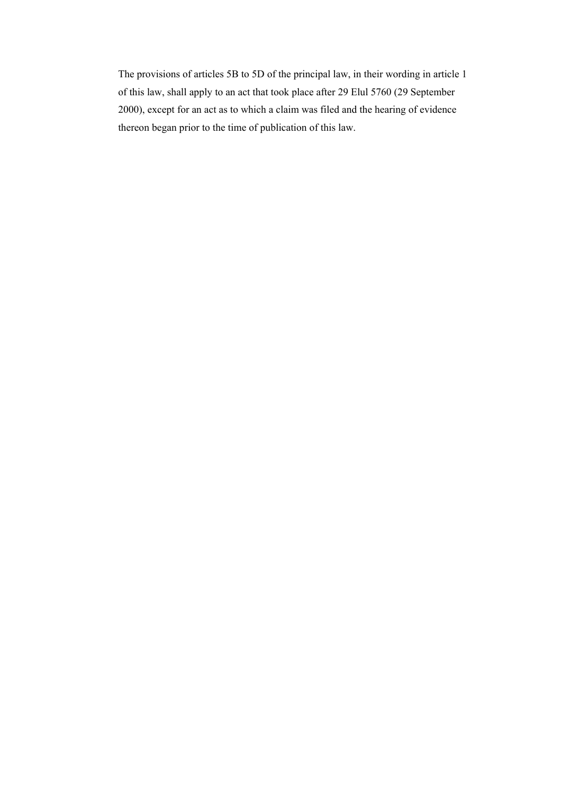The provisions of articles 5B to 5D of the principal law, in their wording in article 1 of this law, shall apply to an act that took place after 29 Elul 5760 (29 September 2000), except for an act as to which a claim was filed and the hearing of evidence thereon began prior to the time of publication of this law.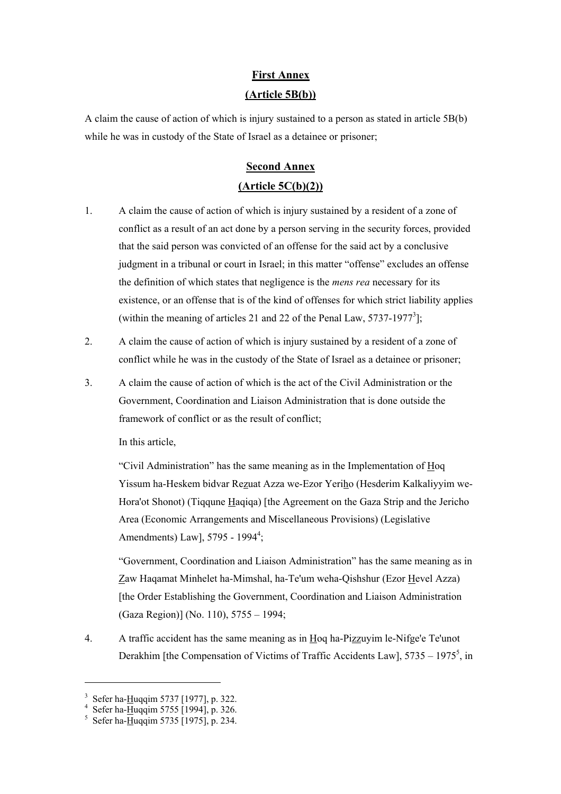# **First Annex (Article 5B(b))**

A claim the cause of action of which is injury sustained to a person as stated in article 5B(b) while he was in custody of the State of Israel as a detainee or prisoner;

# **Second Annex (Article 5C(b)(2))**

- 1. A claim the cause of action of which is injury sustained by a resident of a zone of conflict as a result of an act done by a person serving in the security forces, provided that the said person was convicted of an offense for the said act by a conclusive judgment in a tribunal or court in Israel; in this matter "offense" excludes an offense the definition of which states that negligence is the *mens rea* necessary for its existence, or an offense that is of the kind of offenses for which strict liability applies (within the meaning of articles 21 and 22 of the Penal Law,  $5737-1977^3$ ];
- 2. A claim the cause of action of which is injury sustained by a resident of a zone of conflict while he was in the custody of the State of Israel as a detainee or prisoner;
- 3. A claim the cause of action of which is the act of the Civil Administration or the Government, Coordination and Liaison Administration that is done outside the framework of conflict or as the result of conflict;

In this article,

"Civil Administration" has the same meaning as in the Implementation of Hoq Yissum ha-Heskem bidvar Rezuat Azza we-Ezor Yeriho (Hesderim Kalkaliyyim we-Hora'ot Shonot) (Tiqqune Haqiqa) [the Agreement on the Gaza Strip and the Jericho Area (Economic Arrangements and Miscellaneous Provisions) (Legislative Amendments) Law],  $5795 - 1994^4$ ;

"Government, Coordination and Liaison Administration" has the same meaning as in Zaw Haqamat Minhelet ha-Mimshal, ha-Te'um weha-Qishshur (Ezor Hevel Azza) [the Order Establishing the Government, Coordination and Liaison Administration (Gaza Region)] (No. 110), 5755 – 1994;

4. A traffic accident has the same meaning as in Hoq ha-Pizzuyim le-Nifge'e Te'unot Derakhim [the Compensation of Victims of Traffic Accidents Law],  $5735 - 1975^5$ , in

<sup>&</sup>lt;sup>3</sup> Sefer ha-Huqqim 5737 [1977], p. 322.<br><sup>4</sup> Sefer ha Huqqim 5755 [1004] p. 326.

<sup>&</sup>lt;sup>4</sup> Sefer ha-<u>H</u>uqqim 5755 [1994], p. 326.<br><sup>5</sup> Sefer ha-<u>H</u>uqqim 5735 [1975], p. 234.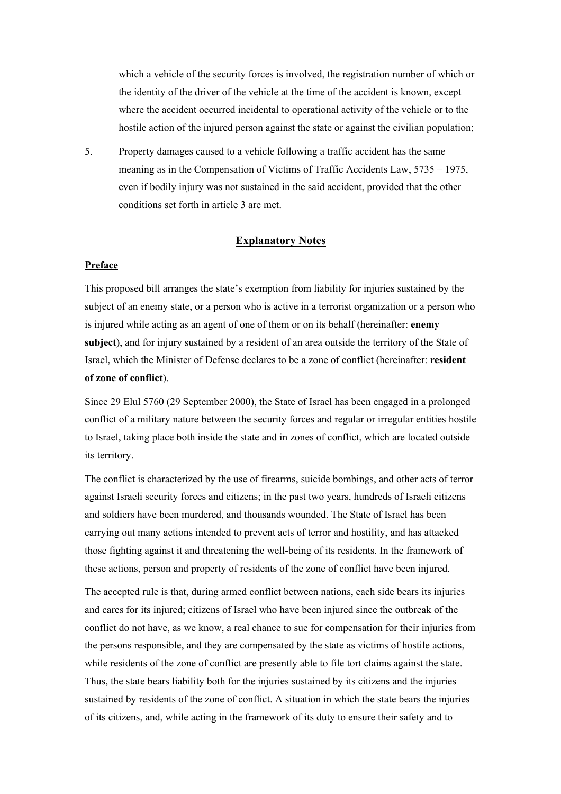which a vehicle of the security forces is involved, the registration number of which or the identity of the driver of the vehicle at the time of the accident is known, except where the accident occurred incidental to operational activity of the vehicle or to the hostile action of the injured person against the state or against the civilian population;

5. Property damages caused to a vehicle following a traffic accident has the same meaning as in the Compensation of Victims of Traffic Accidents Law, 5735 – 1975, even if bodily injury was not sustained in the said accident, provided that the other conditions set forth in article 3 are met.

### **Explanatory Notes**

### **Preface**

This proposed bill arranges the state's exemption from liability for injuries sustained by the subject of an enemy state, or a person who is active in a terrorist organization or a person who is injured while acting as an agent of one of them or on its behalf (hereinafter: **enemy subject**), and for injury sustained by a resident of an area outside the territory of the State of Israel, which the Minister of Defense declares to be a zone of conflict (hereinafter: **resident of zone of conflict**).

Since 29 Elul 5760 (29 September 2000), the State of Israel has been engaged in a prolonged conflict of a military nature between the security forces and regular or irregular entities hostile to Israel, taking place both inside the state and in zones of conflict, which are located outside its territory.

The conflict is characterized by the use of firearms, suicide bombings, and other acts of terror against Israeli security forces and citizens; in the past two years, hundreds of Israeli citizens and soldiers have been murdered, and thousands wounded. The State of Israel has been carrying out many actions intended to prevent acts of terror and hostility, and has attacked those fighting against it and threatening the well-being of its residents. In the framework of these actions, person and property of residents of the zone of conflict have been injured.

The accepted rule is that, during armed conflict between nations, each side bears its injuries and cares for its injured; citizens of Israel who have been injured since the outbreak of the conflict do not have, as we know, a real chance to sue for compensation for their injuries from the persons responsible, and they are compensated by the state as victims of hostile actions, while residents of the zone of conflict are presently able to file tort claims against the state. Thus, the state bears liability both for the injuries sustained by its citizens and the injuries sustained by residents of the zone of conflict. A situation in which the state bears the injuries of its citizens, and, while acting in the framework of its duty to ensure their safety and to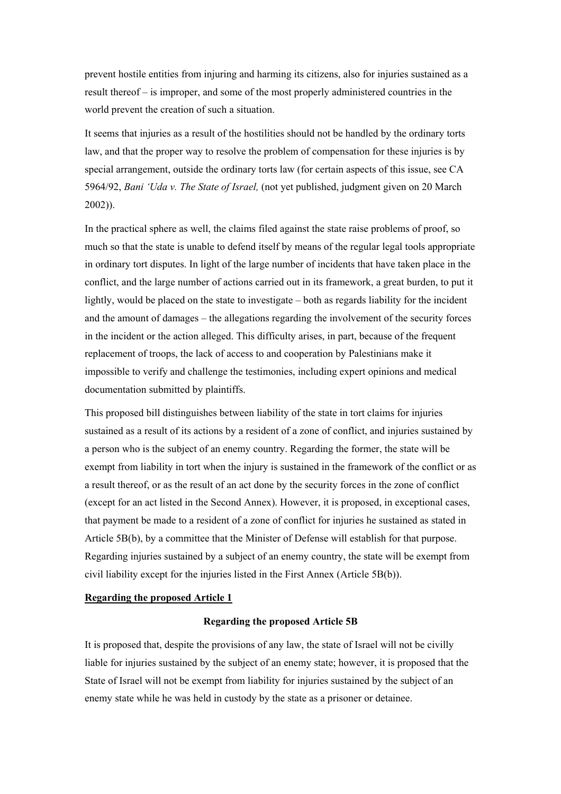prevent hostile entities from injuring and harming its citizens, also for injuries sustained as a result thereof – is improper, and some of the most properly administered countries in the world prevent the creation of such a situation.

It seems that injuries as a result of the hostilities should not be handled by the ordinary torts law, and that the proper way to resolve the problem of compensation for these injuries is by special arrangement, outside the ordinary torts law (for certain aspects of this issue, see CA 5964/92, *Bani 'Uda v. The State of Israel,* (not yet published, judgment given on 20 March 2002)).

In the practical sphere as well, the claims filed against the state raise problems of proof, so much so that the state is unable to defend itself by means of the regular legal tools appropriate in ordinary tort disputes. In light of the large number of incidents that have taken place in the conflict, and the large number of actions carried out in its framework, a great burden, to put it lightly, would be placed on the state to investigate – both as regards liability for the incident and the amount of damages – the allegations regarding the involvement of the security forces in the incident or the action alleged. This difficulty arises, in part, because of the frequent replacement of troops, the lack of access to and cooperation by Palestinians make it impossible to verify and challenge the testimonies, including expert opinions and medical documentation submitted by plaintiffs.

This proposed bill distinguishes between liability of the state in tort claims for injuries sustained as a result of its actions by a resident of a zone of conflict, and injuries sustained by a person who is the subject of an enemy country. Regarding the former, the state will be exempt from liability in tort when the injury is sustained in the framework of the conflict or as a result thereof, or as the result of an act done by the security forces in the zone of conflict (except for an act listed in the Second Annex). However, it is proposed, in exceptional cases, that payment be made to a resident of a zone of conflict for injuries he sustained as stated in Article 5B(b), by a committee that the Minister of Defense will establish for that purpose. Regarding injuries sustained by a subject of an enemy country, the state will be exempt from civil liability except for the injuries listed in the First Annex (Article 5B(b)).

### **Regarding the proposed Article 1**

### **Regarding the proposed Article 5B**

It is proposed that, despite the provisions of any law, the state of Israel will not be civilly liable for injuries sustained by the subject of an enemy state; however, it is proposed that the State of Israel will not be exempt from liability for injuries sustained by the subject of an enemy state while he was held in custody by the state as a prisoner or detainee.